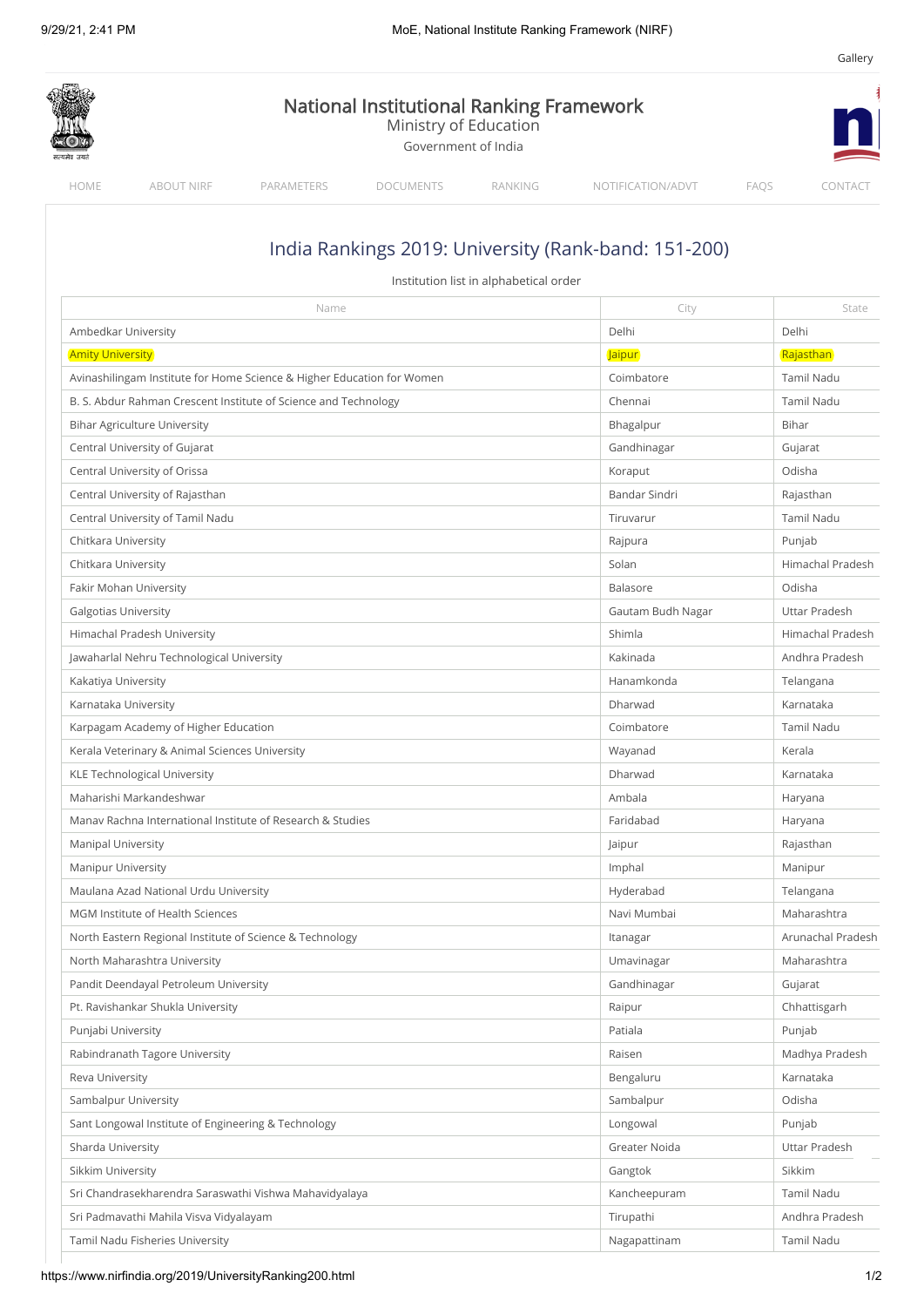|                                                                 |                                                                        | <b>National Institutional Ranking Framework</b><br>Ministry of Education<br>Government of India |                                        |                                                      |                   |
|-----------------------------------------------------------------|------------------------------------------------------------------------|-------------------------------------------------------------------------------------------------|----------------------------------------|------------------------------------------------------|-------------------|
| HOME<br><b>ABOUT NIRF</b>                                       | PARAMETERS                                                             | <b>DOCUMENTS</b>                                                                                | RANKING                                | NOTIFICATION/ADVT                                    | FAQS<br>CONTACT   |
|                                                                 |                                                                        |                                                                                                 |                                        | India Rankings 2019: University (Rank-band: 151-200) |                   |
|                                                                 |                                                                        |                                                                                                 | Institution list in alphabetical order |                                                      |                   |
|                                                                 | Name                                                                   |                                                                                                 |                                        | City                                                 | State             |
| Ambedkar University                                             |                                                                        |                                                                                                 |                                        | Delhi                                                | Delhi             |
| <b>Amity University</b>                                         |                                                                        |                                                                                                 |                                        | <b>Jaipur</b>                                        | Rajasthan         |
|                                                                 | Avinashilingam Institute for Home Science & Higher Education for Women |                                                                                                 |                                        | Coimbatore                                           | Tamil Nadu        |
| B. S. Abdur Rahman Crescent Institute of Science and Technology |                                                                        |                                                                                                 |                                        | Chennai                                              | Tamil Nadu        |
| <b>Bihar Agriculture University</b>                             |                                                                        |                                                                                                 |                                        | Bhagalpur                                            | Bihar             |
| Central University of Gujarat                                   |                                                                        |                                                                                                 |                                        | Gandhinagar                                          | Gujarat           |
| Central University of Orissa                                    |                                                                        |                                                                                                 |                                        | Koraput                                              | Odisha            |
| Central University of Rajasthan                                 |                                                                        |                                                                                                 |                                        | Bandar Sindri                                        | Rajasthan         |
| Central University of Tamil Nadu                                |                                                                        |                                                                                                 |                                        | Tiruvarur                                            | <b>Tamil Nadu</b> |
| Chitkara University                                             |                                                                        |                                                                                                 |                                        | Rajpura                                              | Punjab            |
| Chitkara University                                             |                                                                        |                                                                                                 |                                        | Solan                                                | Himachal Pradesh  |
| Fakir Mohan University                                          |                                                                        |                                                                                                 |                                        | Balasore                                             | Odisha            |
| <b>Galgotias University</b>                                     |                                                                        |                                                                                                 |                                        | Gautam Budh Nagar                                    | Uttar Pradesh     |
| Himachal Pradesh University                                     |                                                                        |                                                                                                 |                                        | Shimla                                               | Himachal Pradesh  |
| Jawaharlal Nehru Technological University                       |                                                                        |                                                                                                 |                                        | Kakinada                                             | Andhra Pradesh    |
| Kakatiya University                                             |                                                                        |                                                                                                 |                                        | Hanamkonda                                           | Telangana         |
| Karnataka University                                            |                                                                        |                                                                                                 |                                        | Dharwad                                              | Karnataka         |
| Karpagam Academy of Higher Education                            |                                                                        |                                                                                                 |                                        | Coimbatore                                           | <b>Tamil Nadu</b> |
| Kerala Veterinary & Animal Sciences University                  |                                                                        |                                                                                                 |                                        | Wayanad                                              | Kerala            |
| KLE Technological University                                    |                                                                        |                                                                                                 |                                        | Dharwad                                              | Karnataka         |
| Maharishi Markandeshwar                                         |                                                                        |                                                                                                 |                                        | Ambala                                               | Haryana           |
| Manav Rachna International Institute of Research & Studies      |                                                                        |                                                                                                 |                                        | Faridabad                                            | Haryana           |
| <b>Manipal University</b>                                       |                                                                        |                                                                                                 |                                        | Jaipur                                               | Rajasthan         |
| <b>Manipur University</b>                                       |                                                                        |                                                                                                 |                                        | Imphal                                               | Manipur           |
| Maulana Azad National Urdu University                           |                                                                        |                                                                                                 |                                        | Hyderabad                                            | Telangana         |
| MGM Institute of Health Sciences                                |                                                                        |                                                                                                 |                                        | Navi Mumbai                                          | Maharashtra       |
|                                                                 | North Eastern Regional Institute of Science & Technology               |                                                                                                 |                                        | Itanagar                                             | Arunachal Pradesh |
| North Maharashtra University                                    |                                                                        |                                                                                                 |                                        | Umavinagar                                           | Maharashtra       |
|                                                                 |                                                                        |                                                                                                 |                                        |                                                      |                   |
| Pandit Deendayal Petroleum University                           |                                                                        |                                                                                                 |                                        | Gandhinagar                                          | Gujarat           |
| Pt. Ravishankar Shukla University                               |                                                                        |                                                                                                 |                                        | Raipur                                               | Chhattisgarh      |
| Punjabi University                                              |                                                                        |                                                                                                 |                                        | Patiala                                              | Punjab            |
| Rabindranath Tagore University                                  |                                                                        |                                                                                                 |                                        | Raisen                                               | Madhya Pradesh    |
| Reva University                                                 |                                                                        |                                                                                                 |                                        | Bengaluru                                            | Karnataka         |
| Sambalpur University                                            |                                                                        |                                                                                                 |                                        | Sambalpur                                            | Odisha            |
|                                                                 | Sant Longowal Institute of Engineering & Technology                    |                                                                                                 |                                        | Longowal                                             | Punjab            |
| Sharda University                                               |                                                                        |                                                                                                 |                                        | Greater Noida                                        | Uttar Pradesh     |
| Sikkim University                                               |                                                                        |                                                                                                 |                                        | Gangtok                                              | Sikkim            |
| Sri Chandrasekharendra Saraswathi Vishwa Mahavidyalaya          |                                                                        |                                                                                                 |                                        | Kancheepuram                                         | Tamil Nadu        |
|                                                                 | Sri Padmavathi Mahila Visva Vidyalayam                                 |                                                                                                 |                                        | Tirupathi                                            | Andhra Pradesh    |